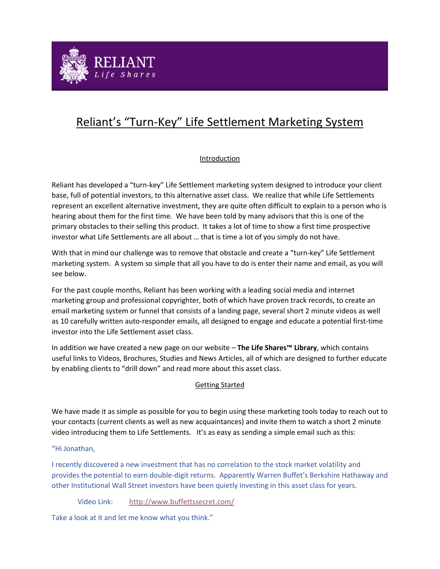

# Reliant's "Turn-Key" Life Settlement Marketing System

# Introduction

Reliant has developed a "turn-key" Life Settlement marketing system designed to introduce your client base, full of potential investors, to this alternative asset class. We realize that while Life Settlements represent an excellent alternative investment, they are quite often difficult to explain to a person who is hearing about them for the first time. We have been told by many advisors that this is one of the primary obstacles to their selling this product. It takes a lot of time to show a first time prospective investor what Life Settlements are all about … that is time a lot of you simply do not have.

With that in mind our challenge was to remove that obstacle and create a "turn-key" Life Settlement marketing system. A system so simple that all you have to do is enter their name and email, as you will see below.

For the past couple months, Reliant has been working with a leading social media and internet marketing group and professional copyrighter, both of which have proven track records, to create an email marketing system or funnel that consists of a landing page, several short 2 minute videos as well as 10 carefully written auto-responder emails, all designed to engage and educate a potential first-time investor into the Life Settlement asset class.

In addition we have created a new page on our website – **The Life Shares™ Library**, which contains useful links to Videos, Brochures, Studies and News Articles, all of which are designed to further educate by enabling clients to "drill down" and read more about this asset class.

# Getting Started

We have made it as simple as possible for you to begin using these marketing tools today to reach out to your contacts (current clients as well as new acquaintances) and invite them to watch a short 2 minute video introducing them to Life Settlements. It's as easy as sending a simple email such as this:

# "Hi Jonathan,

I recently discovered a new investment that has no correlation to the stock market volatility and provides the potential to earn double-digit returns. Apparently Warren Buffet's Berkshire Hathaway and other Institutional Wall Street investors have been quietly investing in this asset class for years.

Video Link: <http://www.buffettssecret.com/>

Take a look at it and let me know what you think."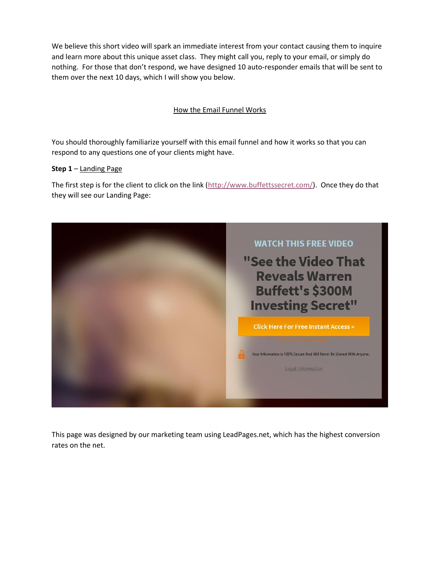We believe this short video will spark an immediate interest from your contact causing them to inquire and learn more about this unique asset class. They might call you, reply to your email, or simply do nothing. For those that don't respond, we have designed 10 auto-responder emails that will be sent to them over the next 10 days, which I will show you below.

# How the Email Funnel Works

You should thoroughly familiarize yourself with this email funnel and how it works so that you can respond to any questions one of your clients might have.

### **Step 1** – Landing Page

The first step is for the client to click on the link [\(http://www.buffettssecret.com/\)](http://www.buffettssecret.com/). Once they do that they will see our Landing Page:



This page was designed by our marketing team using LeadPages.net, which has the highest conversion rates on the net.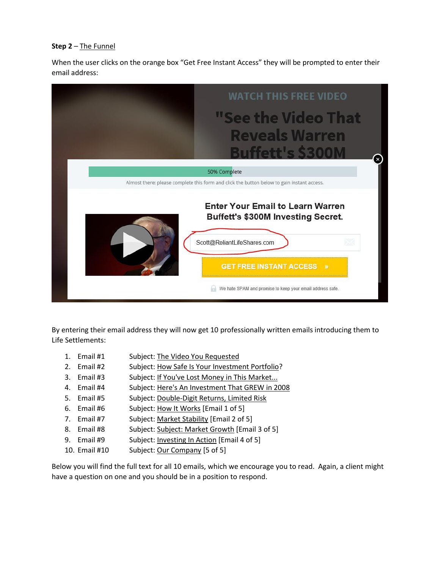# **Step 2** – The Funnel

When the user clicks on the orange box "Get Free Instant Access" they will be prompted to enter their email address:



By entering their email address they will now get 10 professionally written emails introducing them to Life Settlements:

- 1. Email #1 Subject: The Video You Requested
- 2. Email #2 Subject: How Safe Is Your Investment Portfolio?
- 3. Email #3 Subject: If You've Lost Money in This Market...
- 4. Email #4 Subject: Here's An Investment That GREW in 2008
- 5. Email #5 Subject: Double-Digit Returns, Limited Risk
- 6. Email #6 Subject: How It Works [Email 1 of 5]
- 7. Email #7 Subject: Market Stability [Email 2 of 5]
- 8. Email #8 Subject: Subject: Market Growth [Email 3 of 5]
- 9. Email #9 Subject: Investing In Action [Email 4 of 5]
- 10. Email #10 Subject: Our Company [5 of 5]

Below you will find the full text for all 10 emails, which we encourage you to read. Again, a client might have a question on one and you should be in a position to respond.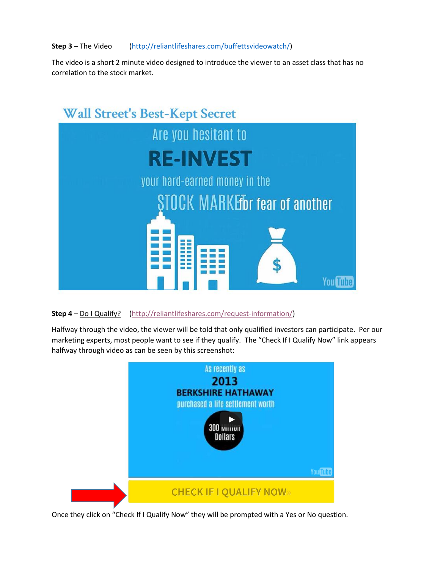## **Step 3** – The Video [\(http://reliantlifeshares.com/buffettsvideowatch/\)](http://reliantlifeshares.com/buffettsvideowatch/)

The video is a short 2 minute video designed to introduce the viewer to an asset class that has no correlation to the stock market.



**Step 4** – Do I Qualify? [\(http://reliantlifeshares.com/request-information/\)](http://reliantlifeshares.com/request-information/)

Halfway through the video, the viewer will be told that only qualified investors can participate. Per our marketing experts, most people want to see if they qualify. The "Check If I Qualify Now" link appears halfway through video as can be seen by this screenshot:



Once they click on "Check If I Qualify Now" they will be prompted with a Yes or No question.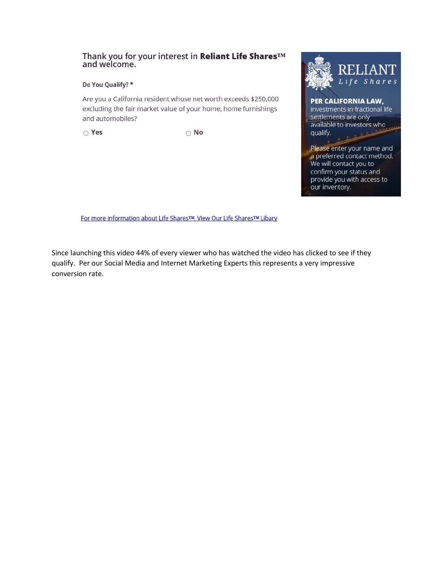# Thank you for your interest in Reliant Life Shares™ and welcome.

#### Do You Qualify? \*

Are you a California resident whose net worth exceeds \$250,000 excluding the fair market value of your home, home furnishings and automobiles?

 $\circ$  Yes

 $\circ$  No



investments in fractional life settlements are only available to investors who qualify.

Please enter your name and a preferred contact method. We will contact you to confirm your status and provide you with access to our inventory.

For more information about Life Shares™, View Our Life Shares™ Libary

Since launching this video 44% of every viewer who has watched the video has clicked to see if they qualify. Per our Social Media and Internet Marketing Experts this represents a very impressive conversion rate.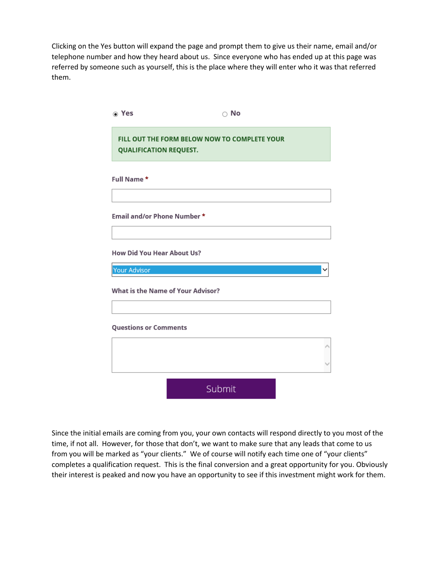Clicking on the Yes button will expand the page and prompt them to give us their name, email and/or telephone number and how they heard about us. Since everyone who has ended up at this page was referred by someone such as yourself, this is the place where they will enter who it was that referred them.

| ⊙ Yes                                    | $\circ$ No                                   |  |
|------------------------------------------|----------------------------------------------|--|
| <b>QUALIFICATION REQUEST.</b>            | FILL OUT THE FORM BELOW NOW TO COMPLETE YOUR |  |
| Full Name*                               |                                              |  |
| Email and/or Phone Number *              |                                              |  |
| <b>How Did You Hear About Us?</b>        |                                              |  |
| <b>Your Advisor</b>                      |                                              |  |
| <b>What is the Name of Your Advisor?</b> |                                              |  |
| <b>Questions or Comments</b>             |                                              |  |
|                                          |                                              |  |
|                                          | Submit                                       |  |

Since the initial emails are coming from you, your own contacts will respond directly to you most of the time, if not all. However, for those that don't, we want to make sure that any leads that come to us from you will be marked as "your clients." We of course will notify each time one of "your clients" completes a qualification request. This is the final conversion and a great opportunity for you. Obviously their interest is peaked and now you have an opportunity to see if this investment might work for them.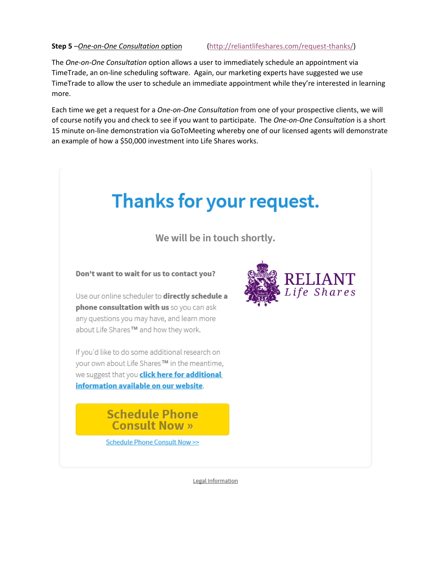**Step 5** –*One-on-One Consultation* option [\(http://reliantlifeshares.com/request-thanks/\)](http://reliantlifeshares.com/request-thanks/)

The *One-on-One Consultation* option allows a user to immediately schedule an appointment via TimeTrade, an on-line scheduling software. Again, our marketing experts have suggested we use TimeTrade to allow the user to schedule an immediate appointment while they're interested in learning more.

Each time we get a request for a *One-on-One Consultation* from one of your prospective clients, we will of course notify you and check to see if you want to participate. The *One-on-One Consultation* is a short 15 minute on-line demonstration via GoToMeeting whereby one of our licensed agents will demonstrate an example of how a \$50,000 investment into Life Shares works.



We will be in touch shortly.

Don't want to wait for us to contact you?

Use our online scheduler to directly schedule a phone consultation with us so you can ask any questions you may have, and learn more about Life Shares™ and how they work.

If you'd like to do some additional research on your own about Life Shares™ in the meantime, we suggest that you **click here for additional** information available on our website.

> **Schedule Phone Consult Now »**

Schedule Phone Consult Now >>



Legal Information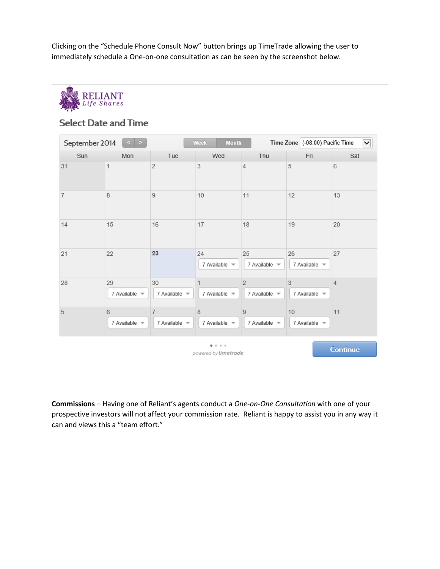Clicking on the "Schedule Phone Consult Now" button brings up TimeTrade allowing the user to immediately schedule a One-on-one consultation as can be seen by the screenshot below.



# **Select Date and Time**

| $\vert$ ><br>September 2014 |                              | <b>Month</b><br>Week         |                                   |                                          | Time Zone (-08:00) Pacific Time |                 |
|-----------------------------|------------------------------|------------------------------|-----------------------------------|------------------------------------------|---------------------------------|-----------------|
| Sun                         | Mon                          | Tue                          | Wed                               | Thu                                      | Fri                             | Sat             |
| 31                          | 1                            | $\sqrt{2}$                   | 3                                 | $\overline{4}$                           | $\sqrt{5}$                      | 6               |
| $\overline{7}$              | 8                            | 9                            | 10                                | 11                                       | 12                              | 13              |
| 14                          | 15                           | 16                           | 17                                | 18                                       | 19                              | 20              |
| 21                          | 22                           | 23                           | 24<br>7 Available $\sqrt{*}$      | 25<br>7 Available $\sqrt{ }$             | 26<br>7 Available $\sqrt{ }$    | 27              |
| 28                          | 29<br>7 Available $\sqrt{*}$ | 30<br>7 Available $\sqrt{*}$ | 7 Available $\sqrt{*}$            | $\overline{2}$<br>7 Available $\sqrt{*}$ | 3<br>7 Available $\sqrt{*}$     | $\overline{4}$  |
| $\overline{5}$              | 6<br>7 Available $\sqrt{*}$  | 7<br>7 Available $\sqrt{*}$  | $\,$ 8<br>7 Available $\sqrt{*}$  | $\,9$<br>7 Available $\sqrt{*}$          | 10<br>7 Available $\sqrt{*}$    | 11              |
|                             |                              |                              | $- - - -$<br>powered by timetrade |                                          |                                 | <b>Continue</b> |

**Commissions** – Having one of Reliant's agents conduct a *One-on-One Consultation* with one of your prospective investors will not affect your commission rate. Reliant is happy to assist you in any way it can and views this a "team effort."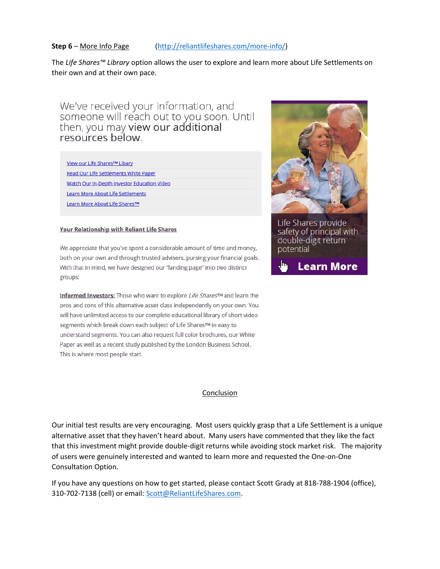**Step 6** – More Info Page [\(http://reliantlifeshares.com/more-info/\)](http://reliantlifeshares.com/more-info/)

The *Life Shares™ Library* option allows the user to explore and learn more about Life Settlements on their own and at their own pace.

We've received your information, and<br>someone will reach out to you soon. Until then, you may view our additional resources below.

|  |  |  | View our Life Shares™ Libary |  |
|--|--|--|------------------------------|--|
|  |  |  |                              |  |

Read Our Life Settlements White Paper

Watch Our In-Depth Investor Education Video

**Learn More About Life Settlements** 

Learn More About Life Shares™

#### Your Relationship with Reliant Life Shares

We appreciate that you've spent a considerable amount of time and money, both on your own and through trusted advisers, pursing your financial goals. With that in mind, we have designed our "landing page" into two distinct groups:

Informed Investors: Those who want to explore Life Shares™ and learn the pros and cons of this alternative asset class independently on your own. You will have unlimited access to our complete educational library of short video segments which break down each subject of Life SharesTM in easy to understand segments. You can also request full color brochures, our White Paper as well as a recent study published by the London Business School. This is where most people start.



Life Shares provide safety of principal with double-digit return potential



#### Conclusion

Our initial test results are very encouraging. Most users quickly grasp that a Life Settlement is a unique alternative asset that they haven't heard about. Many users have commented that they like the fact that this investment might provide double-digit returns while avoiding stock market risk. The majority of users were genuinely interested and wanted to learn more and requested the One-on-One Consultation Option.

If you have any questions on how to get started, please contact Scott Grady at 818-788-1904 (office), 310-702-7138 (cell) or email: [Scott@ReliantLifeShares.com.](mailto:Scott@ReliantLifeShares.com)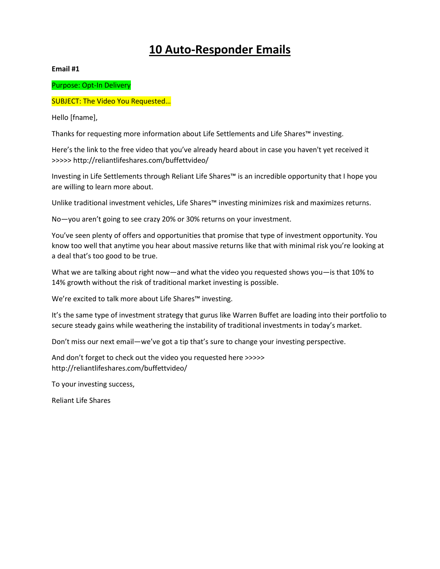# **10 Auto-Responder Emails**

**Email #1**

Purpose: Opt-In Delivery

### SUBJECT: The Video You Requested…

Hello [fname],

Thanks for requesting more information about Life Settlements and Life Shares™ investing.

Here's the link to the free video that you've already heard about in case you haven't yet received it >>>>> http://reliantlifeshares.com/buffettvideo/

Investing in Life Settlements through Reliant Life Shares™ is an incredible opportunity that I hope you are willing to learn more about.

Unlike traditional investment vehicles, Life Shares™ investing minimizes risk and maximizes returns.

No—you aren't going to see crazy 20% or 30% returns on your investment.

You've seen plenty of offers and opportunities that promise that type of investment opportunity. You know too well that anytime you hear about massive returns like that with minimal risk you're looking at a deal that's too good to be true.

What we are talking about right now—and what the video you requested shows you—is that 10% to 14% growth without the risk of traditional market investing is possible.

We're excited to talk more about Life Shares™ investing.

It's the same type of investment strategy that gurus like Warren Buffet are loading into their portfolio to secure steady gains while weathering the instability of traditional investments in today's market.

Don't miss our next email—we've got a tip that's sure to change your investing perspective.

And don't forget to check out the video you requested here >>>>> http://reliantlifeshares.com/buffettvideo/

To your investing success,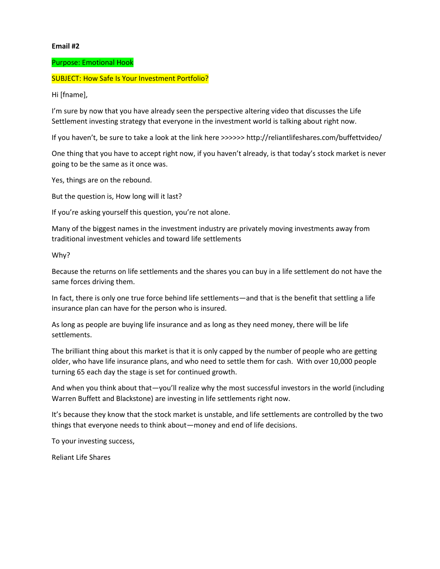#### Purpose: Emotional Hook

#### SUBJECT: How Safe Is Your Investment Portfolio?

Hi [fname],

I'm sure by now that you have already seen the perspective altering video that discusses the Life Settlement investing strategy that everyone in the investment world is talking about right now.

If you haven't, be sure to take a look at the link here >>>>>> http://reliantlifeshares.com/buffettvideo/

One thing that you have to accept right now, if you haven't already, is that today's stock market is never going to be the same as it once was.

Yes, things are on the rebound.

But the question is, How long will it last?

If you're asking yourself this question, you're not alone.

Many of the biggest names in the investment industry are privately moving investments away from traditional investment vehicles and toward life settlements

Why?

Because the returns on life settlements and the shares you can buy in a life settlement do not have the same forces driving them.

In fact, there is only one true force behind life settlements—and that is the benefit that settling a life insurance plan can have for the person who is insured.

As long as people are buying life insurance and as long as they need money, there will be life settlements.

The brilliant thing about this market is that it is only capped by the number of people who are getting older, who have life insurance plans, and who need to settle them for cash. With over 10,000 people turning 65 each day the stage is set for continued growth.

And when you think about that—you'll realize why the most successful investors in the world (including Warren Buffett and Blackstone) are investing in life settlements right now.

It's because they know that the stock market is unstable, and life settlements are controlled by the two things that everyone needs to think about—money and end of life decisions.

To your investing success,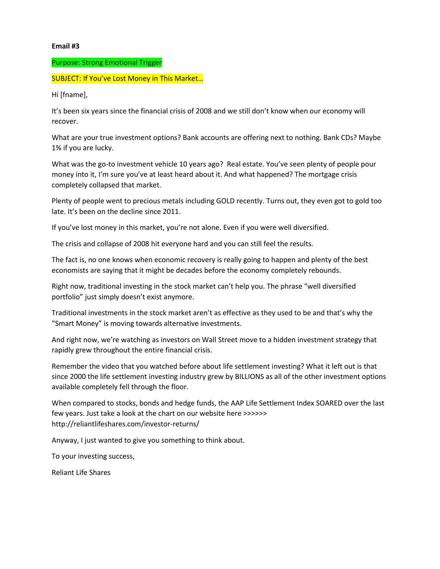#### Purpose: Strong Emotional Trigger

SUBJECT: If You've Lost Money in This Market…

Hi [fname],

It's been six years since the financial crisis of 2008 and we still don't know when our economy will recover.

What are your true investment options? Bank accounts are offering next to nothing. Bank CDs? Maybe 1% if you are lucky.

What was the go-to investment vehicle 10 years ago? Real estate. You've seen plenty of people pour money into it, I'm sure you've at least heard about it. And what happened? The mortgage crisis completely collapsed that market.

Plenty of people went to precious metals including GOLD recently. Turns out, they even got to gold too late. It's been on the decline since 2011.

If you've lost money in this market, you're not alone. Even if you were well diversified.

The crisis and collapse of 2008 hit everyone hard and you can still feel the results.

The fact is, no one knows when economic recovery is really going to happen and plenty of the best economists are saying that it might be decades before the economy completely rebounds.

Right now, traditional investing in the stock market can't help you. The phrase "well diversified portfolio" just simply doesn't exist anymore.

Traditional investments in the stock market aren't as effective as they used to be and that's why the "Smart Money" is moving towards alternative investments.

And right now, we're watching as investors on Wall Street move to a hidden investment strategy that rapidly grew throughout the entire financial crisis.

Remember the video that you watched before about life settlement investing? What it left out is that since 2000 the life settlement investing industry grew by BILLIONS as all of the other investment options available completely fell through the floor.

When compared to stocks, bonds and hedge funds, the AAP Life Settlement Index SOARED over the last few years. Just take a look at the chart on our website here >>>>>> http://reliantlifeshares.com/investor-returns/

Anyway, I just wanted to give you something to think about.

To your investing success,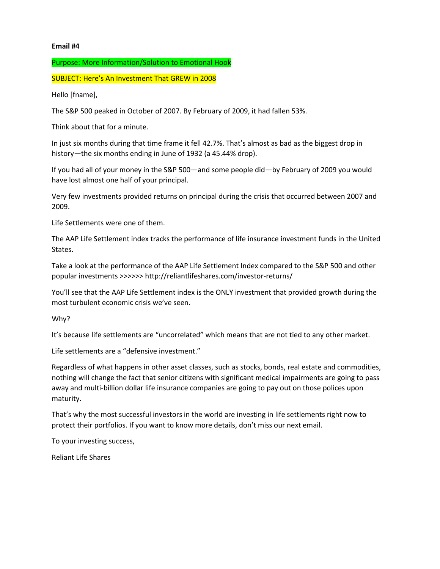#### Purpose: More Information/Solution to Emotional Hook

SUBJECT: Here's An Investment That GREW in 2008

Hello [fname],

The S&P 500 peaked in October of 2007. By February of 2009, it had fallen 53%.

Think about that for a minute.

In just six months during that time frame it fell 42.7%. That's almost as bad as the biggest drop in history—the six months ending in June of 1932 (a 45.44% drop).

If you had all of your money in the S&P 500—and some people did—by February of 2009 you would have lost almost one half of your principal.

Very few investments provided returns on principal during the crisis that occurred between 2007 and 2009.

Life Settlements were one of them.

The AAP Life Settlement index tracks the performance of life insurance investment funds in the United States.

Take a look at the performance of the AAP Life Settlement Index compared to the S&P 500 and other popular investments >>>>>> http://reliantlifeshares.com/investor-returns/

You'll see that the AAP Life Settlement index is the ONLY investment that provided growth during the most turbulent economic crisis we've seen.

Why?

It's because life settlements are "uncorrelated" which means that are not tied to any other market.

Life settlements are a "defensive investment."

Regardless of what happens in other asset classes, such as stocks, bonds, real estate and commodities, nothing will change the fact that senior citizens with significant medical impairments are going to pass away and multi-billion dollar life insurance companies are going to pay out on those polices upon maturity.

That's why the most successful investors in the world are investing in life settlements right now to protect their portfolios. If you want to know more details, don't miss our next email.

To your investing success,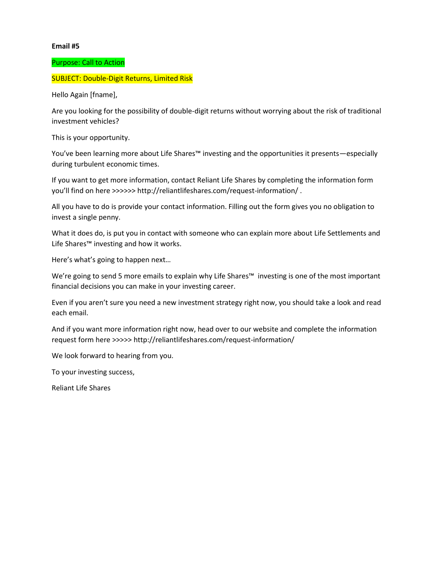#### Purpose: Call to Action

## SUBJECT: Double-Digit Returns, Limited Risk

Hello Again [fname],

Are you looking for the possibility of double-digit returns without worrying about the risk of traditional investment vehicles?

This is your opportunity.

You've been learning more about Life Shares™ investing and the opportunities it presents—especially during turbulent economic times.

If you want to get more information, contact Reliant Life Shares by completing the information form you'll find on here >>>>>> http://reliantlifeshares.com/request-information/ .

All you have to do is provide your contact information. Filling out the form gives you no obligation to invest a single penny.

What it does do, is put you in contact with someone who can explain more about Life Settlements and Life Shares™ investing and how it works.

Here's what's going to happen next…

We're going to send 5 more emails to explain why Life Shares™ investing is one of the most important financial decisions you can make in your investing career.

Even if you aren't sure you need a new investment strategy right now, you should take a look and read each email.

And if you want more information right now, head over to our website and complete the information request form here >>>>> http://reliantlifeshares.com/request-information/

We look forward to hearing from you.

To your investing success,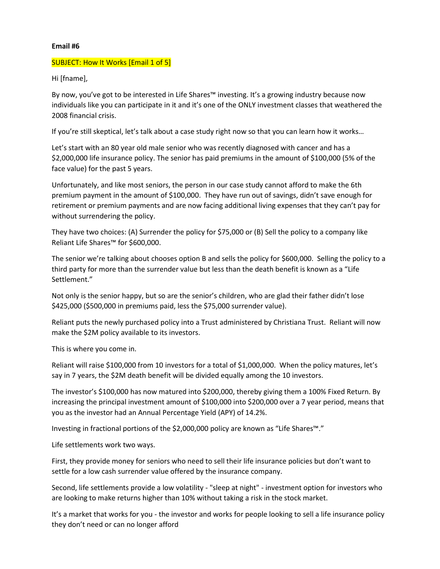#### SUBJECT: How It Works [Email 1 of 5]

Hi [fname],

By now, you've got to be interested in Life Shares™ investing. It's a growing industry because now individuals like you can participate in it and it's one of the ONLY investment classes that weathered the 2008 financial crisis.

If you're still skeptical, let's talk about a case study right now so that you can learn how it works…

Let's start with an 80 year old male senior who was recently diagnosed with cancer and has a \$2,000,000 life insurance policy. The senior has paid premiums in the amount of \$100,000 (5% of the face value) for the past 5 years.

Unfortunately, and like most seniors, the person in our case study cannot afford to make the 6th premium payment in the amount of \$100,000. They have run out of savings, didn't save enough for retirement or premium payments and are now facing additional living expenses that they can't pay for without surrendering the policy.

They have two choices: (A) Surrender the policy for \$75,000 or (B) Sell the policy to a company like Reliant Life Shares™ for \$600,000.

The senior we're talking about chooses option B and sells the policy for \$600,000. Selling the policy to a third party for more than the surrender value but less than the death benefit is known as a "Life Settlement."

Not only is the senior happy, but so are the senior's children, who are glad their father didn't lose \$425,000 (\$500,000 in premiums paid, less the \$75,000 surrender value).

Reliant puts the newly purchased policy into a Trust administered by Christiana Trust. Reliant will now make the \$2M policy available to its investors.

This is where you come in.

Reliant will raise \$100,000 from 10 investors for a total of \$1,000,000. When the policy matures, let's say in 7 years, the \$2M death benefit will be divided equally among the 10 investors.

The investor's \$100,000 has now matured into \$200,000, thereby giving them a 100% Fixed Return. By increasing the principal investment amount of \$100,000 into \$200,000 over a 7 year period, means that you as the investor had an Annual Percentage Yield (APY) of 14.2%.

Investing in fractional portions of the \$2,000,000 policy are known as "Life Shares™."

Life settlements work two ways.

First, they provide money for seniors who need to sell their life insurance policies but don't want to settle for a low cash surrender value offered by the insurance company.

Second, life settlements provide a low volatility - "sleep at night" - investment option for investors who are looking to make returns higher than 10% without taking a risk in the stock market.

It's a market that works for you - the investor and works for people looking to sell a life insurance policy they don't need or can no longer afford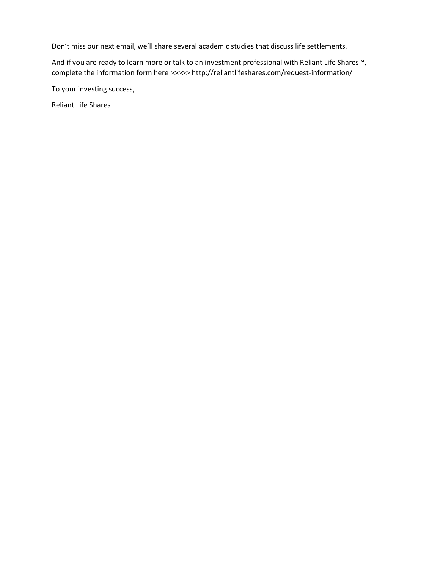Don't miss our next email, we'll share several academic studies that discuss life settlements.

And if you are ready to learn more or talk to an investment professional with Reliant Life Shares™, complete the information form here >>>>> http://reliantlifeshares.com/request-information/

To your investing success,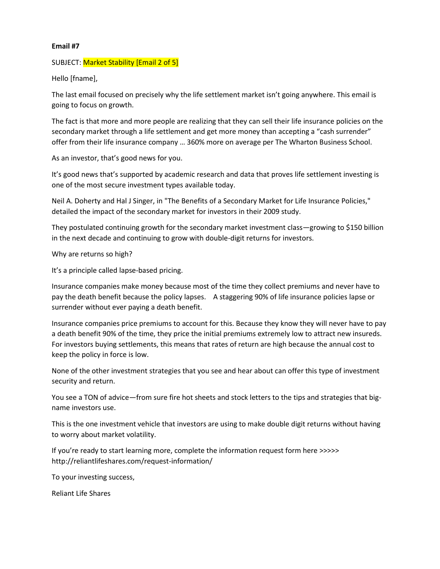#### SUBJECT: Market Stability [Email 2 of 5]

Hello [fname],

The last email focused on precisely why the life settlement market isn't going anywhere. This email is going to focus on growth.

The fact is that more and more people are realizing that they can sell their life insurance policies on the secondary market through a life settlement and get more money than accepting a "cash surrender" offer from their life insurance company … 360% more on average per The Wharton Business School.

As an investor, that's good news for you.

It's good news that's supported by academic research and data that proves life settlement investing is one of the most secure investment types available today.

Neil A. Doherty and Hal J Singer, in "The Benefits of a Secondary Market for Life Insurance Policies," detailed the impact of the secondary market for investors in their 2009 study.

They postulated continuing growth for the secondary market investment class—growing to \$150 billion in the next decade and continuing to grow with double-digit returns for investors.

Why are returns so high?

It's a principle called lapse-based pricing.

Insurance companies make money because most of the time they collect premiums and never have to pay the death benefit because the policy lapses. A staggering 90% of life insurance policies lapse or surrender without ever paying a death benefit.

Insurance companies price premiums to account for this. Because they know they will never have to pay a death benefit 90% of the time, they price the initial premiums extremely low to attract new insureds. For investors buying settlements, this means that rates of return are high because the annual cost to keep the policy in force is low.

None of the other investment strategies that you see and hear about can offer this type of investment security and return.

You see a TON of advice—from sure fire hot sheets and stock letters to the tips and strategies that bigname investors use.

This is the one investment vehicle that investors are using to make double digit returns without having to worry about market volatility.

If you're ready to start learning more, complete the information request form here >>>>> http://reliantlifeshares.com/request-information/

To your investing success,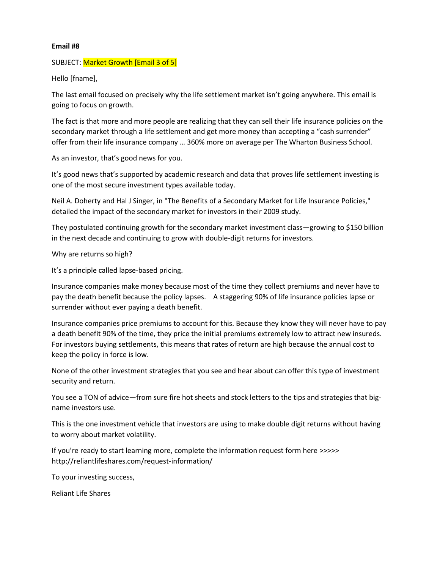#### SUBJECT: Market Growth [Email 3 of 5]

Hello [fname],

The last email focused on precisely why the life settlement market isn't going anywhere. This email is going to focus on growth.

The fact is that more and more people are realizing that they can sell their life insurance policies on the secondary market through a life settlement and get more money than accepting a "cash surrender" offer from their life insurance company … 360% more on average per The Wharton Business School.

As an investor, that's good news for you.

It's good news that's supported by academic research and data that proves life settlement investing is one of the most secure investment types available today.

Neil A. Doherty and Hal J Singer, in "The Benefits of a Secondary Market for Life Insurance Policies," detailed the impact of the secondary market for investors in their 2009 study.

They postulated continuing growth for the secondary market investment class—growing to \$150 billion in the next decade and continuing to grow with double-digit returns for investors.

Why are returns so high?

It's a principle called lapse-based pricing.

Insurance companies make money because most of the time they collect premiums and never have to pay the death benefit because the policy lapses. A staggering 90% of life insurance policies lapse or surrender without ever paying a death benefit.

Insurance companies price premiums to account for this. Because they know they will never have to pay a death benefit 90% of the time, they price the initial premiums extremely low to attract new insureds. For investors buying settlements, this means that rates of return are high because the annual cost to keep the policy in force is low.

None of the other investment strategies that you see and hear about can offer this type of investment security and return.

You see a TON of advice—from sure fire hot sheets and stock letters to the tips and strategies that bigname investors use.

This is the one investment vehicle that investors are using to make double digit returns without having to worry about market volatility.

If you're ready to start learning more, complete the information request form here >>>>> http://reliantlifeshares.com/request-information/

To your investing success,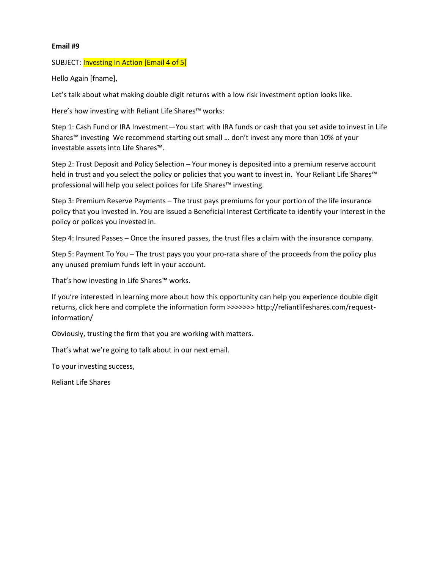#### SUBJECT: Investing In Action [Email 4 of 5]

Hello Again [fname],

Let's talk about what making double digit returns with a low risk investment option looks like.

Here's how investing with Reliant Life Shares™ works:

Step 1: Cash Fund or IRA Investment—You start with IRA funds or cash that you set aside to invest in Life Shares™ investing We recommend starting out small … don't invest any more than 10% of your investable assets into Life Shares™.

Step 2: Trust Deposit and Policy Selection – Your money is deposited into a premium reserve account held in trust and you select the policy or policies that you want to invest in. Your Reliant Life Shares™ professional will help you select polices for Life Shares™ investing.

Step 3: Premium Reserve Payments – The trust pays premiums for your portion of the life insurance policy that you invested in. You are issued a Beneficial Interest Certificate to identify your interest in the policy or polices you invested in.

Step 4: Insured Passes – Once the insured passes, the trust files a claim with the insurance company.

Step 5: Payment To You – The trust pays you your pro-rata share of the proceeds from the policy plus any unused premium funds left in your account.

That's how investing in Life Shares™ works.

If you're interested in learning more about how this opportunity can help you experience double digit returns, click here and complete the information form >>>>>>> http://reliantlifeshares.com/requestinformation/

Obviously, trusting the firm that you are working with matters.

That's what we're going to talk about in our next email.

To your investing success,